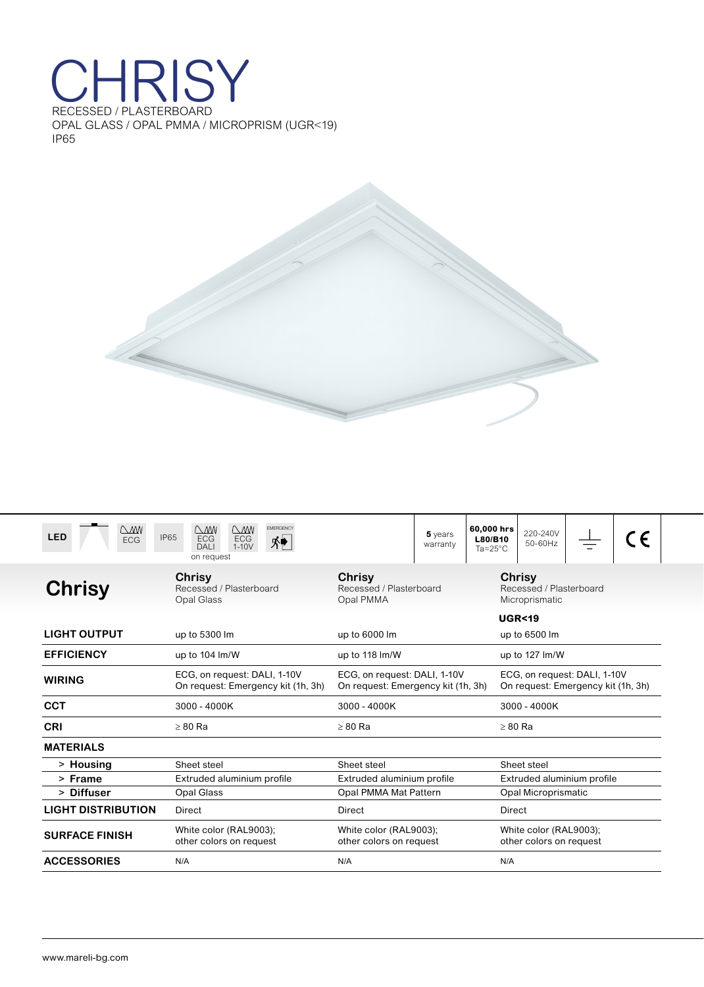## CHRISY OPAL GLASS / OPAL PMMA / MICROPRISM (UGR<19) IP65



| $\mathcal{N}$<br><b>LED</b><br><b>ECG</b> | <b>EMERGENCY</b><br>$\bigcirc$<br>$\bigcap_{i=1}^{n}$<br><b>IP65</b><br><b>ECG</b><br>ECG<br>外<br>$1-10V$<br><b>DALI</b><br>on request | $5$ years<br>warranty                                                                                                                    | 60,000 hrs<br>220-240V<br>L80/B10<br>50-60Hz<br>$Ta = 25^{\circ}C$ | CE                                                |  |
|-------------------------------------------|----------------------------------------------------------------------------------------------------------------------------------------|------------------------------------------------------------------------------------------------------------------------------------------|--------------------------------------------------------------------|---------------------------------------------------|--|
| <b>Chrisy</b>                             | Chrisy<br>Recessed / Plasterboard<br>Opal Glass                                                                                        | Chrisy<br>Recessed / Plasterboard<br>Opal PMMA                                                                                           | Chrisy<br>Recessed / Plasterboard<br>Microprismatic                |                                                   |  |
| <b>LIGHT OUTPUT</b>                       | up to 5300 lm                                                                                                                          | up to 6000 lm                                                                                                                            | <b>UGR&lt;19</b><br>up to 6500 lm                                  |                                                   |  |
| <b>EFFICIENCY</b>                         | up to 104 lm/W                                                                                                                         | up to 118 lm/W                                                                                                                           | up to 127 lm/W                                                     |                                                   |  |
| <b>WIRING</b>                             | ECG, on request: DALI, 1-10V<br>On request: Emergency kit (1h, 3h)                                                                     | ECG, on request: DALI, 1-10V<br>ECG, on request: DALI, 1-10V<br>On request: Emergency kit (1h, 3h)<br>On request: Emergency kit (1h, 3h) |                                                                    |                                                   |  |
| <b>CCT</b>                                | 3000 - 4000K                                                                                                                           | 3000 - 4000K<br>3000 - 4000K                                                                                                             |                                                                    |                                                   |  |
| <b>CRI</b>                                | $>80$ Ra                                                                                                                               | $>80$ Ra<br>$>80$ Ra                                                                                                                     |                                                                    |                                                   |  |
| <b>MATERIALS</b>                          |                                                                                                                                        |                                                                                                                                          |                                                                    |                                                   |  |
| > Housing                                 | Sheet steel                                                                                                                            | Sheet steel                                                                                                                              | Sheet steel                                                        |                                                   |  |
| > Frame                                   | Extruded aluminium profile                                                                                                             | Extruded aluminium profile<br>Extruded aluminium profile                                                                                 |                                                                    |                                                   |  |
| > Diffuser                                | <b>Opal Glass</b>                                                                                                                      | Opal PMMA Mat Pattern<br><b>Opal Microprismatic</b>                                                                                      |                                                                    |                                                   |  |
| <b>LIGHT DISTRIBUTION</b>                 | Direct                                                                                                                                 | Direct                                                                                                                                   | Direct                                                             |                                                   |  |
| <b>SURFACE FINISH</b>                     | White color (RAL9003);<br>other colors on request                                                                                      | White color (RAL9003);<br>other colors on request                                                                                        |                                                                    | White color (RAL9003);<br>other colors on request |  |
| <b>ACCESSORIES</b>                        | N/A                                                                                                                                    | N/A                                                                                                                                      | N/A                                                                |                                                   |  |